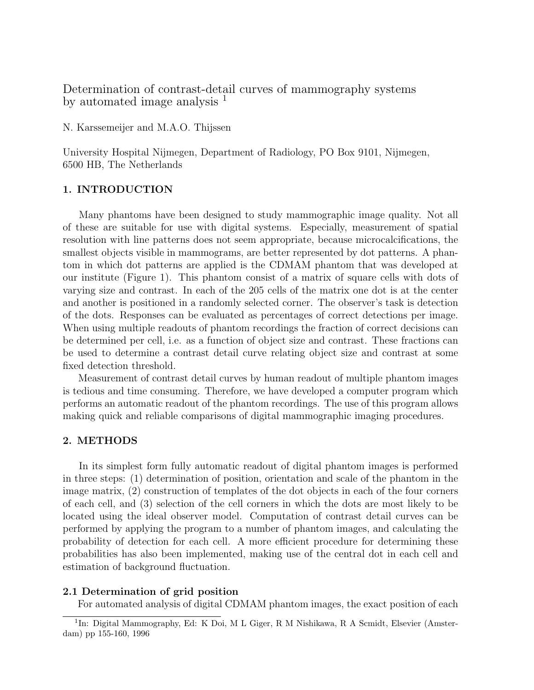# Determination of contrast-detail curves of mammography systems by automated image analysis  $<sup>1</sup>$ </sup>

N. Karssemeijer and M.A.O. Thijssen

University Hospital Nijmegen, Department of Radiology, PO Box 9101, Nijmegen, 6500 HB, The Netherlands

## 1. INTRODUCTION

Many phantoms have been designed to study mammographic image quality. Not all of these are suitable for use with digital systems. Especially, measurement of spatial resolution with line patterns does not seem appropriate, because microcalcifications, the smallest objects visible in mammograms, are better represented by dot patterns. A phantom in which dot patterns are applied is the CDMAM phantom that was developed at our institute (Figure 1). This phantom consist of a matrix of square cells with dots of varying size and contrast. In each of the 205 cells of the matrix one dot is at the center and another is positioned in a randomly selected corner. The observer's task is detection of the dots. Responses can be evaluated as percentages of correct detections per image. When using multiple readouts of phantom recordings the fraction of correct decisions can be determined per cell, i.e. as a function of object size and contrast. These fractions can be used to determine a contrast detail curve relating object size and contrast at some fixed detection threshold.

Measurement of contrast detail curves by human readout of multiple phantom images is tedious and time consuming. Therefore, we have developed a computer program which performs an automatic readout of the phantom recordings. The use of this program allows making quick and reliable comparisons of digital mammographic imaging procedures.

# 2. METHODS

In its simplest form fully automatic readout of digital phantom images is performed in three steps: (1) determination of position, orientation and scale of the phantom in the image matrix, (2) construction of templates of the dot objects in each of the four corners of each cell, and (3) selection of the cell corners in which the dots are most likely to be located using the ideal observer model. Computation of contrast detail curves can be performed by applying the program to a number of phantom images, and calculating the probability of detection for each cell. A more efficient procedure for determining these probabilities has also been implemented, making use of the central dot in each cell and estimation of background fluctuation.

# 2.1 Determination of grid position

For automated analysis of digital CDMAM phantom images, the exact position of each

<sup>&</sup>lt;sup>1</sup>In: Digital Mammography, Ed: K Doi, M L Giger, R M Nishikawa, R A Scmidt, Elsevier (Amsterdam) pp 155-160, 1996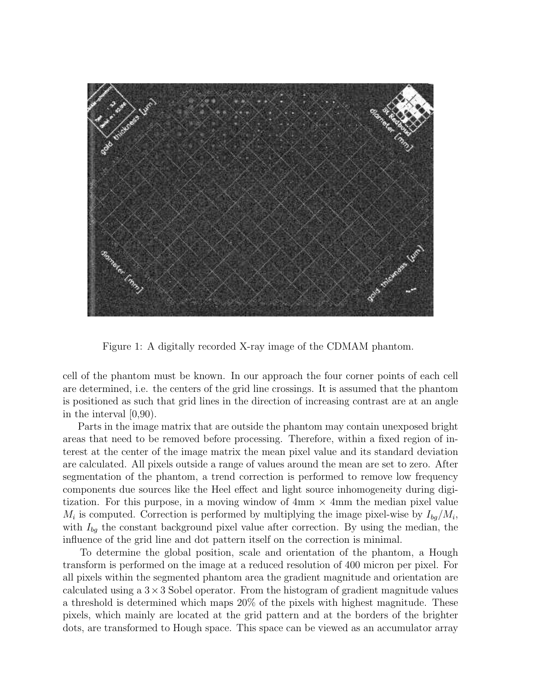

Figure 1: A digitally recorded X-ray image of the CDMAM phantom.

cell of the phantom must be known. In our approach the four corner points of each cell are determined, i.e. the centers of the grid line crossings. It is assumed that the phantom is positioned as such that grid lines in the direction of increasing contrast are at an angle in the interval [0,90).

Parts in the image matrix that are outside the phantom may contain unexposed bright areas that need to be removed before processing. Therefore, within a fixed region of interest at the center of the image matrix the mean pixel value and its standard deviation are calculated. All pixels outside a range of values around the mean are set to zero. After segmentation of the phantom, a trend correction is performed to remove low frequency components due sources like the Heel effect and light source inhomogeneity during digitization. For this purpose, in a moving window of  $4 \text{mm} \times 4 \text{mm}$  the median pixel value  $M_i$  is computed. Correction is performed by multiplying the image pixel-wise by  $I_{bg}/M_i$ , with  $I_{ba}$  the constant background pixel value after correction. By using the median, the influence of the grid line and dot pattern itself on the correction is minimal.

To determine the global position, scale and orientation of the phantom, a Hough transform is performed on the image at a reduced resolution of 400 micron per pixel. For all pixels within the segmented phantom area the gradient magnitude and orientation are calculated using a  $3 \times 3$  Sobel operator. From the histogram of gradient magnitude values a threshold is determined which maps 20% of the pixels with highest magnitude. These pixels, which mainly are located at the grid pattern and at the borders of the brighter dots, are transformed to Hough space. This space can be viewed as an accumulator array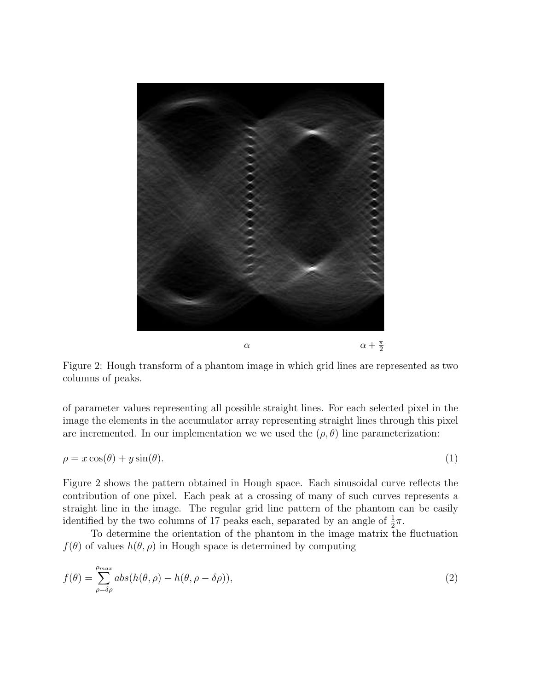

Figure 2: Hough transform of a phantom image in which grid lines are represented as two columns of peaks.

of parameter values representing all possible straight lines. For each selected pixel in the image the elements in the accumulator array representing straight lines through this pixel are incremented. In our implementation we we used the  $(\rho, \theta)$  line parameterization:

$$
\rho = x \cos(\theta) + y \sin(\theta). \tag{1}
$$

Figure 2 shows the pattern obtained in Hough space. Each sinusoidal curve reflects the contribution of one pixel. Each peak at a crossing of many of such curves represents a straight line in the image. The regular grid line pattern of the phantom can be easily identified by the two columns of 17 peaks each, separated by an angle of  $\frac{1}{2}\pi$ .

To determine the orientation of the phantom in the image matrix the fluctuation  $f(\theta)$  of values  $h(\theta, \rho)$  in Hough space is determined by computing

$$
f(\theta) = \sum_{\rho=\delta\rho}^{\rho_{max}} abs(h(\theta,\rho) - h(\theta,\rho-\delta\rho)),
$$
\n(2)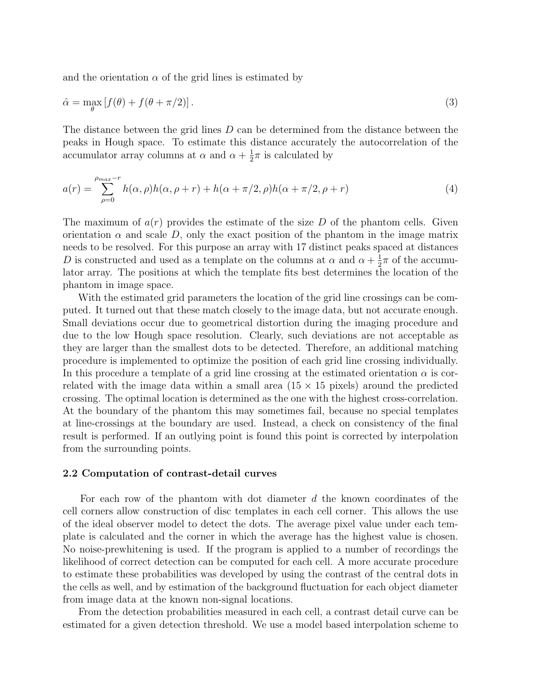and the orientation  $\alpha$  of the grid lines is estimated by

$$
\hat{\alpha} = \max_{\theta} \left[ f(\theta) + f(\theta + \pi/2) \right]. \tag{3}
$$

The distance between the grid lines D can be determined from the distance between the peaks in Hough space. To estimate this distance accurately the autocorrelation of the accumulator array columns at  $\alpha$  and  $\alpha + \frac{1}{2}$  $\frac{1}{2}\pi$  is calculated by

$$
a(r) = \sum_{\rho=0}^{\rho_{max}-r} h(\alpha, \rho)h(\alpha, \rho+r) + h(\alpha + \pi/2, \rho)h(\alpha + \pi/2, \rho+r)
$$
(4)

The maximum of  $a(r)$  provides the estimate of the size D of the phantom cells. Given orientation  $\alpha$  and scale D, only the exact position of the phantom in the image matrix needs to be resolved. For this purpose an array with 17 distinct peaks spaced at distances D is constructed and used as a template on the columns at  $\alpha$  and  $\alpha + \frac{1}{2}$  $\frac{1}{2}\pi$  of the accumulator array. The positions at which the template fits best determines the location of the phantom in image space.

With the estimated grid parameters the location of the grid line crossings can be computed. It turned out that these match closely to the image data, but not accurate enough. Small deviations occur due to geometrical distortion during the imaging procedure and due to the low Hough space resolution. Clearly, such deviations are not acceptable as they are larger than the smallest dots to be detected. Therefore, an additional matching procedure is implemented to optimize the position of each grid line crossing individually. In this procedure a template of a grid line crossing at the estimated orientation  $\alpha$  is correlated with the image data within a small area  $(15 \times 15)$  pixels) around the predicted crossing. The optimal location is determined as the one with the highest cross-correlation. At the boundary of the phantom this may sometimes fail, because no special templates at line-crossings at the boundary are used. Instead, a check on consistency of the final result is performed. If an outlying point is found this point is corrected by interpolation from the surrounding points.

#### 2.2 Computation of contrast-detail curves

For each row of the phantom with dot diameter  $d$  the known coordinates of the cell corners allow construction of disc templates in each cell corner. This allows the use of the ideal observer model to detect the dots. The average pixel value under each template is calculated and the corner in which the average has the highest value is chosen. No noise-prewhitening is used. If the program is applied to a number of recordings the likelihood of correct detection can be computed for each cell. A more accurate procedure to estimate these probabilities was developed by using the contrast of the central dots in the cells as well, and by estimation of the background fluctuation for each object diameter from image data at the known non-signal locations.

From the detection probabilities measured in each cell, a contrast detail curve can be estimated for a given detection threshold. We use a model based interpolation scheme to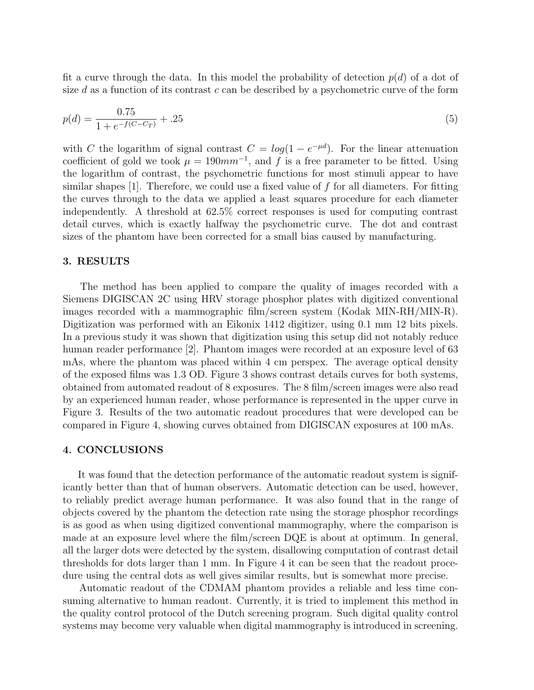fit a curve through the data. In this model the probability of detection  $p(d)$  of a dot of size d as a function of its contrast c can be described by a psychometric curve of the form

$$
p(d) = \frac{0.75}{1 + e^{-f(C - C_T)}} + .25
$$
\n<sup>(5)</sup>

with C the logarithm of signal contrast  $C = log(1 - e^{-\mu d})$ . For the linear attenuation coefficient of gold we took  $\mu = 190mm^{-1}$ , and f is a free parameter to be fitted. Using the logarithm of contrast, the psychometric functions for most stimuli appear to have similar shapes [1]. Therefore, we could use a fixed value of  $f$  for all diameters. For fitting the curves through to the data we applied a least squares procedure for each diameter independently. A threshold at 62.5% correct responses is used for computing contrast detail curves, which is exactly halfway the psychometric curve. The dot and contrast sizes of the phantom have been corrected for a small bias caused by manufacturing.

#### 3. RESULTS

The method has been applied to compare the quality of images recorded with a Siemens DIGISCAN 2C using HRV storage phosphor plates with digitized conventional images recorded with a mammographic film/screen system (Kodak MIN-RH/MIN-R). Digitization was performed with an Eikonix 1412 digitizer, using 0.1 mm 12 bits pixels. In a previous study it was shown that digitization using this setup did not notably reduce human reader performance [2]. Phantom images were recorded at an exposure level of 63 mAs, where the phantom was placed within 4 cm perspex. The average optical density of the exposed films was 1.3 OD. Figure 3 shows contrast details curves for both systems, obtained from automated readout of 8 exposures. The 8 film/screen images were also read by an experienced human reader, whose performance is represented in the upper curve in Figure 3. Results of the two automatic readout procedures that were developed can be compared in Figure 4, showing curves obtained from DIGISCAN exposures at 100 mAs.

# 4. CONCLUSIONS

It was found that the detection performance of the automatic readout system is significantly better than that of human observers. Automatic detection can be used, however, to reliably predict average human performance. It was also found that in the range of objects covered by the phantom the detection rate using the storage phosphor recordings is as good as when using digitized conventional mammography, where the comparison is made at an exposure level where the film/screen DQE is about at optimum. In general, all the larger dots were detected by the system, disallowing computation of contrast detail thresholds for dots larger than 1 mm. In Figure 4 it can be seen that the readout procedure using the central dots as well gives similar results, but is somewhat more precise.

Automatic readout of the CDMAM phantom provides a reliable and less time consuming alternative to human readout. Currently, it is tried to implement this method in the quality control protocol of the Dutch screening program. Such digital quality control systems may become very valuable when digital mammography is introduced in screening.